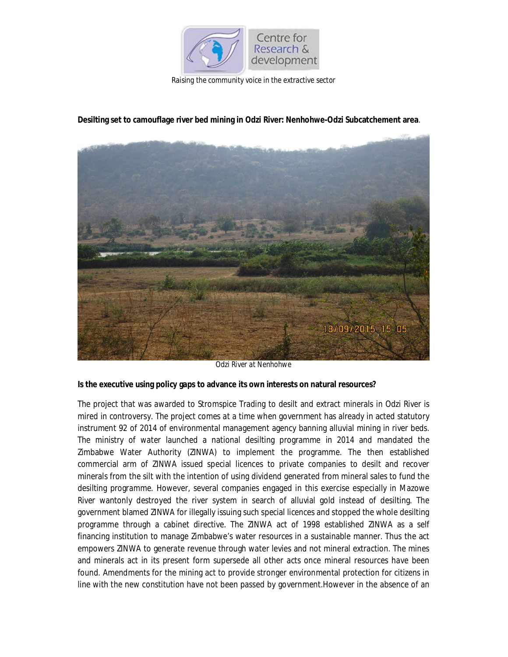

*Raising the community voice in the extractive sector*



## **Desilting set to camouflage river bed mining in Odzi River: Nenhohwe-Odzi Subcatchement area**.

*Odzi River at Nenhohwe*

#### **Is the executive using policy gaps to advance its own interests on natural resources?**

The project that was awarded to Stromspice Trading to desilt and extract minerals in Odzi River is mired in controversy. The project comes at a time when government has already in acted statutory instrument 92 of 2014 of environmental management agency banning alluvial mining in river beds. The ministry of water launched a national desilting programme in 2014 and mandated the Zimbabwe Water Authority (ZINWA) to implement the programme. The then established commercial arm of ZINWA issued special licences to private companies to desilt and recover minerals from the silt with the intention of using dividend generated from mineral sales to fund the desilting programme. However, several companies engaged in this exercise especially in Mazowe River wantonly destroyed the river system in search of alluvial gold instead of desilting. The government blamed ZINWA for illegally issuing such special licences and stopped the whole desilting programme through a cabinet directive. The ZINWA act of 1998 established ZINWA as a self financing institution to manage Zimbabwe's water resources in a sustainable manner. Thus the act empowers ZINWA to generate revenue through water levies and not mineral extraction. The mines and minerals act in its present form supersede all other acts once mineral resources have been found. Amendments for the mining act to provide stronger environmental protection for citizens in line with the new constitution have not been passed by government.However in the absence of an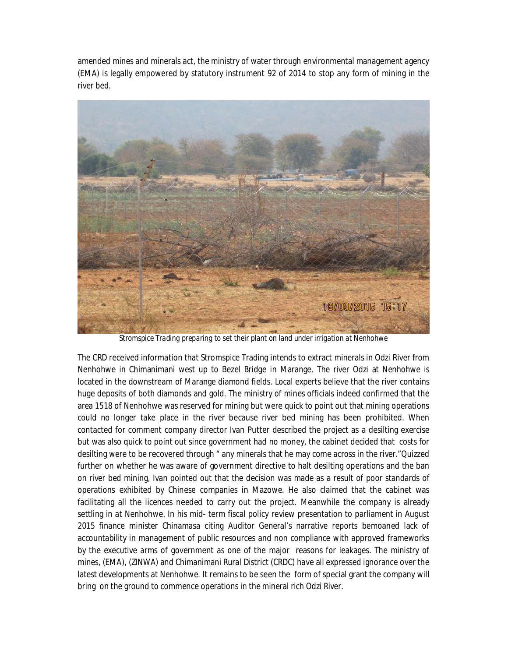amended mines and minerals act, the ministry of water through environmental management agency (EMA) is legally empowered by statutory instrument 92 of 2014 to stop any form of mining in the river bed.



*Stromspice Trading preparing to set their plant on land under irrigation at Nenhohwe*

The CRD received information that Stromspice Trading intends to extract minerals in Odzi River from Nenhohwe in Chimanimani west up to Bezel Bridge in Marange. The river Odzi at Nenhohwe is located in the downstream of Marange diamond fields. Local experts believe that the river contains huge deposits of both diamonds and gold. The ministry of mines officials indeed confirmed that the area 1518 of Nenhohwe was reserved for mining but were quick to point out that mining operations could no longer take place in the river because river bed mining has been prohibited. When contacted for comment company director Ivan Putter described the project as a desilting exercise but was also quick to point out since government had no money, the cabinet decided that costs for desilting were to be recovered through " any minerals that he may come across in the river."Quizzed further on whether he was aware of government directive to halt desilting operations and the ban on river bed mining, Ivan pointed out that the decision was made as a result of poor standards of operations exhibited by Chinese companies in Mazowe. He also claimed that the cabinet was facilitating all the licences needed to carry out the project. Meanwhile the company is already settling in at Nenhohwe. In his mid- term fiscal policy review presentation to parliament in August 2015 finance minister Chinamasa citing Auditor General's narrative reports bemoaned lack of accountability in management of public resources and non compliance with approved frameworks by the executive arms of government as one of the major reasons for leakages. The ministry of mines, (EMA), (ZINWA) and Chimanimani Rural District (CRDC) have all expressed ignorance over the latest developments at Nenhohwe. It remains to be seen the form of special grant the company will bring on the ground to commence operations in the mineral rich Odzi River.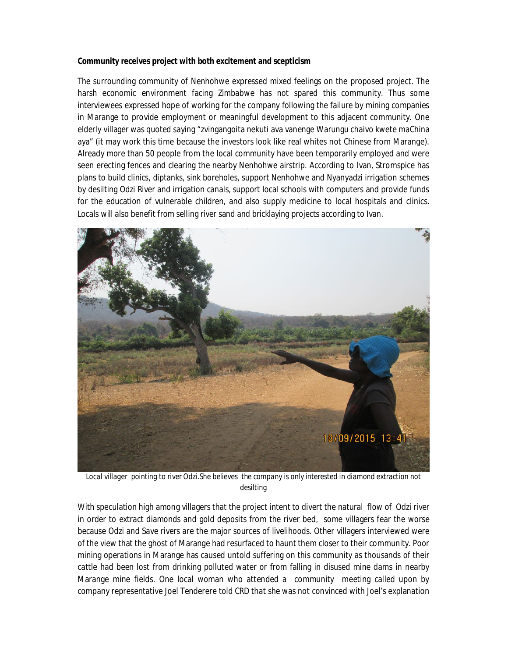### **Community receives project with both excitement and scepticism**

The surrounding community of Nenhohwe expressed mixed feelings on the proposed project. The harsh economic environment facing Zimbabwe has not spared this community. Thus some interviewees expressed hope of working for the company following the failure by mining companies in Marange to provide employment or meaningful development to this adjacent community. One elderly villager was quoted saying "zvingangoita nekuti ava vanenge Warungu chaivo kwete maChina aya" (it may work this time because the investors look like real whites not Chinese from Marange). Already more than 50 people from the local community have been temporarily employed and were seen erecting fences and clearing the nearby Nenhohwe airstrip. According to Ivan, Stromspice has plans to build clinics, diptanks, sink boreholes, support Nenhohwe and Nyanyadzi irrigation schemes by desilting Odzi River and irrigation canals, support local schools with computers and provide funds for the education of vulnerable children, and also supply medicine to local hospitals and clinics. Locals will also benefit from selling river sand and bricklaying projects according to Ivan.



Local villager pointing to river Odzi. She believes the company is only interested in diamond extraction not *desilting*

With speculation high among villagers that the project intent to divert the natural flow of Odzi river in order to extract diamonds and gold deposits from the river bed, some villagers fear the worse because Odzi and Save rivers are the major sources of livelihoods. Other villagers interviewed were of the view that the ghost of Marange had resurfaced to haunt them closer to their community. Poor mining operations in Marange has caused untold suffering on this community as thousands of their cattle had been lost from drinking polluted water or from falling in disused mine dams in nearby Marange mine fields. One local woman who attended a community meeting called upon by company representative Joel Tenderere told CRD that she was not convinced with Joel's explanation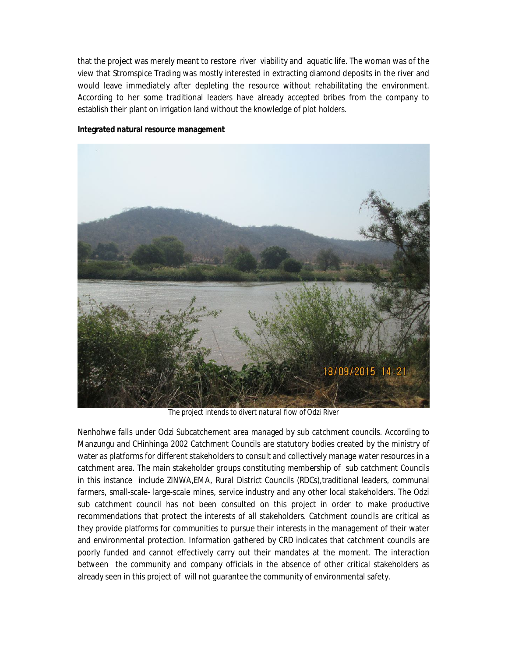that the project was merely meant to restore river viability and aquatic life. The woman was of the view that Stromspice Trading was mostly interested in extracting diamond deposits in the river and would leave immediately after depleting the resource without rehabilitating the environment. According to her some traditional leaders have already accepted bribes from the company to establish their plant on irrigation land without the knowledge of plot holders.



#### **Integrated natural resource management**

*The project intends to divert natural flow of Odzi River*

Nenhohwe falls under Odzi Subcatchement area managed by sub catchment councils. According to Manzungu and CHinhinga 2002 Catchment Councils are statutory bodies created by the ministry of water as platforms for different stakeholders to consult and collectively manage water resources in a catchment area. The main stakeholder groups constituting membership of sub catchment Councils in this instance include ZINWA,EMA, Rural District Councils (RDCs),traditional leaders, communal farmers, small-scale- large-scale mines, service industry and any other local stakeholders. The Odzi sub catchment council has not been consulted on this project in order to make productive recommendations that protect the interests of all stakeholders. Catchment councils are critical as they provide platforms for communities to pursue their interests in the management of their water and environmental protection. Information gathered by CRD indicates that catchment councils are poorly funded and cannot effectively carry out their mandates at the moment. The interaction between the community and company officials in the absence of other critical stakeholders as already seen in this project of will not guarantee the community of environmental safety.